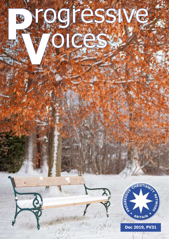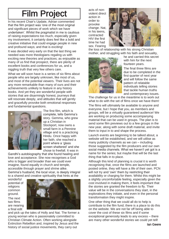# Film Project

In his recent Chair's Update, Adrian commented that the film project was 'one of the most original and significant pieces of work which we have undertaken'. Whilst the pragmatist in me is cautious of raising expectations too much, especially given my involvement, it certainly does feel like a bold and creative initiative that could engage people in new and profound ways; and that is exciting!

It was decided very early on that the last thing we needed was more theologians regaling us with exciting new theories and practices; as enjoyable as many of us find that prospect, there are plenty of excellent books and conferences for us, and a niggling truth that very few others care.

What we will soon have is a series of six films about people who are largely unknown, like most of us, and most of the potential viewers. Their lives are not any more remarkable than many of ours and their achievements unlikely to feature in any history books. And yet they are wonderful people with stories that are disarmingly honest, journeys that will resonate deeply, and attitudes that will gently and gracefully provoke both emotional responses and fundamental questions.

![](_page_1_Picture_4.jpeg)

The first film, which is complete, tells Gemma's story. Gemma, who grew up a Christian in Stockport, now owns a small farm in a Pennine village and is a practicing Hindu. Once happy with her faith, she reached a point where a 'glass screen shattered' and she chose to freefall. It was in

Gandhi's autobiography that she found healing and love and acceptance. She now recognises a God who is bigger and broader than we could ever imagine, found equally in church and temple, accessible through prayer and shrine alike. Gemma's husband, the local vicar, is deeply integral to a shared and creative spirituality that hints at the

wonderful potential of religions common ground.

The next two films are nearing a final edit

![](_page_1_Picture_9.jpeg)

and pick up the tales of Holly and Nat. The former a young woman who is passionately committed to Christian Climate Action. Often working alongside Extinction Rebellion and, inspired by Jesus and the history of social justice movements, they carry out

acts of nonviolent direct action in order to provoke change. Nat, in his teens, contracted HIV the first time he had sex. Fearing

![](_page_1_Picture_12.jpeg)

the loss of relationship with his strong Christian mother, and struggling with his faith and sexuality,

![](_page_1_Picture_14.jpeg)

he and carried this secret with him for the next fourteen years.

The final three films are due to be completed in the first quarter of next year and will follow the same pattern of relatable individuals telling stories that tackle human truths and contemporary issues.

The challenge for us in the meantime is to work out what to do with the set of films once we have them! The films will ultimately be available to anyone and everyone, but I hope that you, as members and groups, will be a virtually guaranteed audience! We are working on producing some accompanying material that can be used in groups. The plan is to send some film previews out to a few groups in the new year, along with some draft material, and invite them to input in to and shape the process.

Launch events are beginning to be talked about, a website will be established, and we will utilise as many publicity channels as we can – including those suggested by the film producers and our own social media channels. What we haven't yet got is a name for the series; but maybe that will be the last thing that falls in to place.

Although this kind of planning is crucial it is worth recognising that, once the films are launched and posted online, they will have a life of their own. PCN will not try and 'own' them by restricting their availability or charging for them. Whilst this might be a slightly uncomfortable feeling, especially given the cost involved in making them, it feels important that the stories are granted the freedom to fly. Their value will be in the conversations they start, in the explorations they initiate, and even in the personal transformation they might inspire.

One other thing that we could all do to help is contribute to the film fund; there is a place to do this on the website. We are not far off being able to cover the cost of these six films and if some exceptional generosity leads to any excess – there are many other wonderful stories we could yet tell!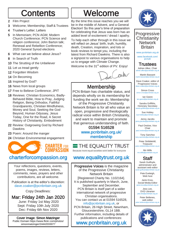# **Contents**

- 2 Film Project
- 3 Welcome; Membership; Staff & Trustees
- 4 Trustee's Letter; Letters
- 5 In Memoriam; PCN AGM; Modern Church Conference; PCN Science and religion conference; John Barton talk; Renewal and Rebellion Conference; 2020 General Synod elections
- 6 What can we believe about Jesus?
- 8 In Search of Truth
- 10 The Strutting of the Unbeliever
- 11 Let us tread gently
- 12 Forgotten Wisdom
- 14 On Becoming
- 15 Inspired by God?
- 16 News from local groups
- 17 Free to Believe Conference; JPIT
- 18 Reviews: Christian Economics, Badly-Behaved Bible, How to Pray, Judging Religion, Being Orthodox, Faithful Grandparents, Christian Mindfulness, Money and Soul, Seeking the God Beyond, Human Odyssey, Jesus Today, One for the Road, A Secret History of Christianity, Embodiment
- 22 Review: Outgrowing God by Richard Dawkins
- 23 Poem: Around the manger
- 24 Christian Environmental engagement

![](_page_2_Picture_18.jpeg)

## [charterforcompassion.org](https://charterforcompassion.org/) [www.equalitytrust.org.uk](http://www.equalitytrust.org.uk)

Your reflections, questions, events, poems, images, reviews, letters, comments, news, prayers and other contributions, are all welcome.

Publication is at the editor's discretion: [dave.coaker@pcnbritain.org.uk](mailto:dave.coaker@pcnbritain.org.uk?subject=PV%20contribution)

Copy Deadlines:

Mar: Friday 24th Jan 2020 June: Friday 1st May 2020 Sept: Friday 10th July 2020 Dec: Friday 6th Nov 2020

Cover Image: Simon Matzinger Public Domain https://www.flickr.com/photos/ simonmatzinger/24442033077

# Welcome

By the time this issue reaches you we will be in the middle of Advent, and a General Election! So this year's time of preparation for celebrating that Jesus was born has an added level of excitement / dread / apathy. To help each other through in this issue we will reflect on Jesus' birth, truth, humility, death, Creation, inspiration, and lots or book reviews to tempt you, including the latest from Richard Dawkins. There is also a signpost to various organisations to help us to engage with Climate Change.

Welcome to the 31<sup>st</sup> edition of PV. Enjoy!

![](_page_2_Picture_28.jpeg)

## **Membership**

PCN Britain has charitable status, and depends wholly on its membership for funding the work we do. Membership of the Progressive Christianity Network Britain is for all who value an open, progressive and theologically radical voice within British Christianity, and want to maintain and promote that generous understanding of faith.

## 01594 516528 [www.pcnbritain.org.uk/](https://www.pcnbritain.org.uk/membership) [membership](https://www.pcnbritain.org.uk/membership)

THE EQUALITY TRUST

Because more equal societies work better for everyone

Progressive Voices is the magazine of the Progressive Christianity Network Britain [Registered Charity No. 1102164]. It is published quarterly in March, June, September and December. PCN Britain is itself part of a wider international network of progressive Christian organisations. You can contact us at 01594 516528, [info@pcnbritain.org.uk,](mailto:info@pcnbritain.org.uk?subject=PV%20link) or PCN Britain, 26 High Street, Newnham, Gloucestershire, GL14 1BB. Further information, including details of publications and conferences: [www.pcnbritain.org.uk](http://www.pcnbritain.org.uk)

![](_page_2_Picture_36.jpeg)

Progressive **Christianity Network** Britain [www.pcnbritain.org.uk](http://www.pcnbritain.org.uk) [www.facebook.com/](http://www.facebook.com/pcnuk/) [pcnuk/](http://www.facebook.com/pcnuk/) Trustees Adrian Alker, Chair [adrian.alker@pcnbritain.org.uk](mailto:adrian.alker@pcnbritain.org.uk?subject=via%20PV) Martin Bassant nt@pcnbritain.org.uk Dave Coaker, editor of Progressive Voices [dave.coaker@pcnbritain.org.uk](mailto:dave.coaker@pcnbritain.org.uk?subject=via%20PV) Simon Cross sin.org.uk Ian Geere [ian.geere@pcnbritain.org.uk](mailto:ian.geere@pcnbritain.org.uk?subject=via%20PV) Sandra Griffiths,

Honorary Secretary [sandra.griffiths@pcnbritain.org.uk](mailto:sandra.griffiths@pcnbritain.org.uk?subject=via%20PV)

Sue Hobley [sue.hobley@pcnbritain.org.uk](mailto:sue.hobley@pcnbritain.org.uk?subject=via%20PV)

Jenny Jacobs [jenny.jacobs@pcnbritain.org.uk](mailto:Jenny.jacobs@pcnbritain.org.uk?subject=via%20PV)

Paul Onslow, Vice Chair [paul.onslow@pcnbritain.org.uk](mailto:paul.onslow@pcnbritain.org.uk?subject=via%20PV)

Tony Sanchez sanchez@pcnbritain.org.uk

Peter Stribblehill, **T[r](mailto:peter.stribblehill@pcnbritain.org.uk?subject=via%20PV)easurer** plehill@pc

Mo Wills [mo.wills@pcnbritain.org.uk](mailto:mo.wills@pcnbritain.org.uk?subject=via%20PV)

## **Staff**

Sarah Guilfoyle, administrator and assistant web editor rah.guilfoyle@pcnbritain.org.uk

> Pete Eveleigh, Web host

Janis Knox, Social Media Editor [janis.knox@pcnbritain.org.uk](mailto:janis.knox@pcnbritain.org.uk?subject=via%20PV)

Jess Lee, DVD Librarian [jess.lee@pcnbritain.org.uk](mailto:jess.lee@pcnbritain.org.uk?subject=via%20PV)

Peter Bellenes, web editor [peter.bellenes@pcnbritain.org.uk](mailto:peter.bellenes@pcnbritain.org.uk?subject=via%20PV)

![](_page_2_Picture_51.jpeg)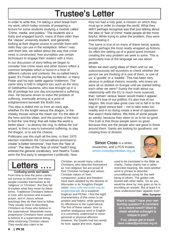# Trustee's Letter

In order to write this, I'm taking a short break from my work, which today consists of preparing a lecture for some students studying a module called 'Crime, media, and politics.' The students are a lively and engaged bunch, many of them older than the 'classic' university student, and generally looking at their degree course to provide them with skills they can use in the workplace. When I was with them last, we talked about the way that crime news is constructed, how journalists use certain techniques to engage their readers with a story. In our discussion of story-telling we began to consider how crime news and other stories reflect a common template which is found in a host of different cultures and contexts: the so-called hero's quest. It's Frodo and his journey to Mordor, or Harry Potter and his epic battle against Voldemort. The same story is told in religions too, such as the story of Siddhartha Gautama, who was brought up in a life of privilege but one day encountered a suffering man. He became driven to solve the problem of suffering, eventually arriving at a point of enlightenment beneath the Bodhi tree.

This idea is drilled into us from an early age, whether it's the knight versus the dragon, or the cheeky mouse versus the mean cat. It's the idea of the hero and the villain, and the journey of the hero to find the 'one thing' that will make the world a better place – to destroy the ring, to defeat the evil wizard, to find a way to transcend suffering, to slay the dragon, or to eat the cheese.

Politicians use this myth all the time. In their 1970 election manifesto the Conservatives promised to create "a better tomorrow", free from the "fear of crime". The idea of the "fear of crime" hadn't long entered the general vocabulary, and Heath's Tories were the first party to weaponise it politically. Now

they too had a holy grail, a mission on which they must go in order to change the world. What they didn't perhaps recognise was that just talking about the idea of 'fear of crime' made people all the more fearful. While trying to solve the problem, they were exacerbating it.

The same is true of so many of these heroic quests, except perhaps the most neatly wrapped up fictions. So often the setting up of a grand quest involves creating the very problem we seek to solve. This is particularly true of the language we use about people.

When we start using ideas of 'them and us' we subconsciously tell ourselves to check whether the person we are thinking of is one of them, or one of us: a 'goodie' or a 'baddie'. This has been very obvious in political rhetoric recently, who knew we were all so divided on Europe until we started telling each other we were? Surely the truth about our relationship with the EU is much more nuanced, than 'remain' versus 'leave' would make it appear. And if it's true of our politics, it's also true of our religion. We must take great care not to fall in to the trap of 'good versus bad' – not to take sides too readily and in so doing create a level of opposition that wasn't there before. We think of some people as saintly, because they seem to us to be so good. The truth is that those people seem so good because they are the people who see good in those around them. Saints are looking for goodness, not creating lines of division.

Simon Cross is a writer. researcher, and a PCN trustee. [simon.cross@pcnbritain.org.uk](mailto:simon.cross@pcnbritain.org.uk?subject=Link%20from%20PV) 

![](_page_3_Picture_8.jpeg)

used to be translated in the Bible as charity. Today charity has a rather restricted meaning. We need another word or phrase to describe unconditional caring for the wellbeing of others. The golden rule, shared with other faiths, 'Do as you would be done by' only goes so far in providing an answer. But at least it is more understood than 'agapeic love'! Mike Sumpner

Want to reply? Have your own burning question? A comment on a recent event? Want to check whether a thought is unique to you?

 If so, please get in touch [dave.coaker@pcnbritain.org.uk](mailto:dave.coaker@pcnbritain.org.uk?subject=PV%20-%20letters%20page)

**Letters** 

Confusing words and labels

From time to time the press carries out surveys to discover how many people consider themselves to be 'religious' or 'Christian'. But they fail to explain what they mean by these terms. Traditional Christians believe in God, who receives and answers prayer, and in Jesus, whose teachings they do their best to follow. They usually insist in describing Christians as those who believe in the supernatural. Meanwhile many progressive Christians have ceased to believe in a supernatural being, while endorsing Christian values. They would also claim to be

Christians, who describe themselves as 'non-religious' but are proud of their Christian heritage and values. Christian values of 'love, compassion, justice and freedom' have been adopted by the diocese of Worcester in its 'Kingdom People' vision: [www.cofe-worcester.org.uk/](http://www.cofe-worcester.org.uk/kingdompeople) [kingdompeople](http://www.cofe-worcester.org.uk/kingdompeople) As a sceptical Anglican and PCNer, I find the eight characteristics of this vision to be positive and helpful, while ignoring its references to the supernatural. The first of these values: 'love' is another ambiguous word in English. It is commonly understood to mean personal or physical affection. However, the Greeks had two words for love: agape and eros. Agape

Christian, as would many cultural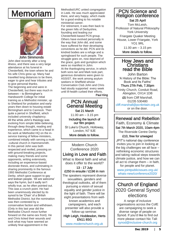## $\overline{a}$ Memoriam

![](_page_4_Picture_1.jpeg)

John Simmonds John died recently after a long illness, and there was a very large attendance at his funeral in Chesterfield, the town where he and his wife Chris grew up. Many had travelled long distances to be there, eager to give and hear tributes and to give personal thanks. The beginning and end were in Chesterfield, but there was much in between – to Birmingham's Handsworth College for initial training as a Methodist minister, up to Shetland for probation and early years then down to housing estate Birmingham and to Cannock. Then quite a period in Sheffield, which included university chaplaincy. All the while John's theology was evolving from simple bible-believing, through deep thought, reading and experience, which came to a head in his work at Methodist HQ on the inservice training of fellow-ministers. combined initially with serving a multi -cultural church in Hammersmith. In this period John was both respected and reviled, pressing on with ground-breaking projects, making many friends and some opponents, writing extensively, including an experience-based doctorate thesis, and culminating in sharing prominently in the famous 1993 Methodist Conference at Derby, which gave support to gay and lesbian people. 'All are welcome' says the hymn, but it sadly isn't wholly true, as he often pointed out. This was a crunch point. He had been unanimously elected by its synod to be 'Chair' of a British Methodist District, but the nomination was then contested by a conservative faction and withdrawn. (Only in this last year did the Methodist Church move further forward on the same-sex front). He and Chris licked their wounds and took what may have seemed an unlikely final appointment in the

Methodist/URC united congregation in Leek. He was much appreciated there, and very happy, which made for a good ending to his notable ministerial career.

For retirement, it was then back to the green hills of Derbyshire, founding and leading our Chesterfield-based PCN group. Others have evolved personally in the way that John did, and some have suffered for their developing convictions as he did. PCN and its kindred bodies are a refuge and a springboard for such people. The struggle goes on, now deprived of the grace, guts and gumption which were so manifest in John. At the thanksgiving service, in which both sons Ian and Mark took part, generous donations were given to ASSIST, the work among asylum seekers in Sheffield whose Conversation Club John and Chris had stoutly supported every week until ill-health curbed their efforts. Paul King

#### PCN Annual General Meeting Sat 21 March

11.00 am – 3.15 pm

Including the launch of our film project.

St Luke's Church, Holloway, London, N7 9JE More details to follow.

> Modern Church Conference 2020

Living in Love and Faith

What is liberal faith and what does it offer to the world?

#### 13 - 17 July £250 in ensuite / £196 in non

The speakers represent diverse sexualities, genders and theological outlooks, all of them pursuing a vision of sexual equality and gender justice in the light of faith. There will be eight presentations from wellknown academics and campaigners, and each presenter will also provide a follow-up seminar.

High Leigh, Hoddesdon, Herts EN11 8SG

[www.modernchurch.org.uk](http://www.modernchurch.org.uk)

## PCN Science and Religion conference Sat 25 April

Tom McLeish, Professor of Natural Philosophy York University

 Friargate Quaker Meeting House, Lower Friargate, York YO1 9RL

> 11.00 am – 3.15 pm More details to follow.

## How Jews and **Christians** read the Bible

John Barton 'A History of the Bible: The Book and Its Faiths' Thurs 27th Feb, 7.30pm

 Trinity Church, Conduit Road, Abingdon, OX14 1DB£5 from Cliff Marshall,

01235 530480 [cliff.marshall@pcnbritain.org.uk](mailto:cliff.marshall@pcnbritain.org.uk?subject=via%20PV)  or on the door.

Renewal and Rebellion

Faith, Economy & Climate Sat 7th March 2020, 10am-4pm The Riverside Centre Derby

## £10, free for unwaged

JPIT's national day conference invites you to join in looking at the big challenges we all face – rethinking economic structures and taking radical steps towards climate justice, and how we can all act to change them – in faith, for people and for planet.

[www.jointpublicissues.org.uk/](http://www.jointpublicissues.org.uk/whats-new/conference2020/) [whats-new/conference2020/](http://www.jointpublicissues.org.uk/whats-new/conference2020/)

## Church of England 2020 General Synod elections

A range of inclusive organisations across the CofE are campaigning to seek a diverse range of people on Synod. If you'd like to find out more please contact Nic Tall: [synod@inclusive-church.org](mailto:synod@inclusive-church.org?subject=via%20PV)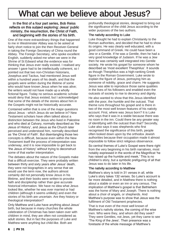# What can we believe about Jesus?

#### In the first of a four part series, Bob Reiss reflects on this subject exploring: Jesus' public ministry, the resurrection, the Christ of Faith, and beginning with the stories of his birth.

One of the more extraordinary things that happened to me in Westminster Abbey was to be asked at fairly short notice to join the then Receiver-General in taking the Foreign Secretary of China round the Abbey. The Foreign Secretary, who spoke excellent English, suddenly asked me when we were in the Shrine of St Edward what the evidence was for thinking that Jesus ever really existed. I realised any answer I gave had to be intellectually coherent, so I pointed out that two non-Christian historians, Josephus and Tacitus, had mentioned Jesus well within a hundred years of his death, and that the gospels were written during the lifetime of some who would have known Jesus when he was alive; the writers would not have made up a wholly fictional figure. Today no serious academic scholar would deny that Jesus existed, but I acknowledged that some of the details of the stories about him in the Gospels might not be historically accurate.

Contained within that is one of the major questions about Jesus - which Jesus do we believe in? New Testament scholars have often talked about a distinction between the Jesus who lived in Palestine and who died at Calvary, normally described as 'the Jesus of History', and Jesus as the Church later perceived and understood him, normally described as 'the Christ of Faith'. But disentangling those two concepts is difficult, because even within the New Testament itself the process of interpretation was underway, and it is now impossible to get back to 'the Jesus of history' without trying to deconstruct some of that earlier interpretation.

The debates about the nature of the Gospels make that a difficult exercise. They were probably written between thirty and sixty years after Jesus' death, they were not biographies in any sense that we would use the term now, the authors almost certainly did not personally know Jesus in his lifetime, and their books were written to provoke faith and discipleship rather than give accurate historical information. We have no idea what Jesus looked like, whether he was ever married or had children (although it seems unlikely) and even the stories of his birth are uncertain. Are they history or theological interpretation?

Only Matthew and Luke have anything about Jesus' birth, but because in many churches the whole celebration of Christmas has been taken over with children in mind, they are often not considered as adult stories. But in fact the purposes of Luke and Matthew were anything but child-like. Both are

profoundly theological stories, designed to bring out the significance of the child Jesus according to the wider purposes of the two authors.

#### The nativity according to Luke

Luke thought he had to explain Christianity to the Roman authorities, and decided that he had to show its origins. He was clearly well educated, with a good command of Greek. He could have been a Jew or a Gentile. If he was a Gentile, then he had a very good knowledge of Judaism. If he was a Jew then he was certainly well integrated into Gentile society. He wrote his gospel for someone whom he described as 'most excellent Theophilus'. It sounds as though Theophilus was a high-ranking Greek figure in the Roman Government. Luke wrote to explain the figure of Jesus, portraying him as someone of nobility, grace and charm. He suggests Jesus was able to reproduce those same qualities in the lives of his followers and enabled even the outcasts of society to rise to decency and dignity.

He also wanted to show that this Jesus identified with the poor, the humble and the outcast. That theme runs throughout his gospel and is there in two of the most well known features of his nativity account. First, where was Jesus born? It is Luke who says that it was in a stable because there was no room in the inn. Could there be any greater way of identifying with the outcast than that? Secondly, Luke also says it was shepherds who first recognised the significance of this birth, people often looked down upon by the orthodox Jewish authorities because their occupation made it almost impossible to follow strict religious observance.

So central themes of Luke's Gospel were there right from the very beginning in his birth narratives, most notably expressed in the words of the Magnificat 'he has raised up the humble and meek.' This is no children's story, but a symbolic prefiguring of all that Jesus was to do later in his life.

#### The nativity according to Matthew

Matthew's story is told in 31 verses in all, while Luke's story takes 132 verses. So Luke's account is far more detailed, and in Matthew there is nothing about a stable or even an inn or any census. The implication of Matthew's gospel is that Bethlehem was the home of Mary and Joseph. There is nothing about a choir of angels, or shepherds. And Matthew's purpose was to show that Jesus was the fulfilment of Old Testament prophecies.

That is true even of the most well known of Matthew's nativity stories, the coming of the wise men. Who were they, and whom did they seek? They were Gentiles, not Jews, yet they came to see 'The King of the Jews'. Their presence was a foretaste of the whole message of Matthew's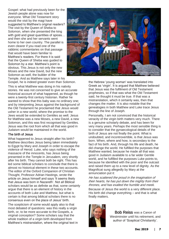Gospel: what had previously been for the Jewish people alone was now for everyone. What Old Testament story would the visit by the magi have suggested to Matthew's original readers? The visit by the Queen of Sheba to Solomon, when she presented the king with gold and great quantities of spices... and then she and her servants went home to her own country. The parallel is even clearer if you read one of the rabbinic commentaries on that passage that would have been familiar to Matthew's readers. For there it is said that the Queen of Sheba was guided to Solomon by a star. Matthew's point is obvious. This Jesus is not only the new Moses and the new David, but the new Solomon as well, the builder of the Temple. And as Matthew says later in his

![](_page_6_Picture_1.jpeg)

Gospel, he is indeed greater even than Solomon.

This is what Matthew was doing in his nativity stories. He was not concerned to give an accurate historical account of what happened, as though he were a twenty-first century historian. Rather he wanted to show that this baby was no ordinary one; and by interpreting Jesus against the background of the Old Testament he proclaimed that Jesus would usher in a new world, where the promise to the Jews would be extended to Gentiles as well. Jesus for Matthew was a new Moses, a new David, a new Solomon, and this was first recognised by Gentiles. Jesus was the root from which all that was good in Judaism would be maintained in the world.

#### The birth of Jesus

What happened to Jesus straight after his birth? Matthew describes Jesus being taken immediately to Egypt by Mary and Joseph in order to escape the violence of Herod. Luke, who says nothing of the massacre of the innocents, has Jesus being presented in the Temple in Jerusalem, very shortly after his birth. They cannot both be right. This has led some biblical scholars to conclude that there is almost no historical element in these two accounts. The editor of the Oxford Companion of Christian Thought, Professor Adrian Hastings, wrote the article on Jesus himself and says 'It seems likely that Jesus was born in Nazareth'. Not all Biblical scholars would be as definite as that, some certainly argue that there is an element of history in the accounts of both Luke and Matthew, but what is certain is that among biblical scholars there is no consensus even on the place of Jesus' birth.

The scepticism of some would apply also to that most debated of questions: was this really a virgin birth, or, to be more accurate to the Gospels, a virginal conception? Some scholars say that the whole tradition of a virgin birth developed from Matthew's mistranslation, where the original text in the Hebrew 'young woman' was translated into Greek as 'virgin'. It is argued that Matthew believed that Jesus was the fulfilment of Old Testament prophesies, so if that was what the Old Testament said, he thought it must be true. If that was a mistranslation, which it certainly was, then that changes the matter. It is also notable that the genealogies in both Matthew and Luke trace Jesus through the line of Joseph.

Personally, I am not convinced that the historical veracity of the virgin birth matters very much. There is a genuine scholarly debate, and has been for very many years. Perhaps the most sensible thing is to consider that the gynaecological details of the birth of Jesus are not finally the point. What is undoubted, and incontrovertible, is that Jesus was born. When, where and how, is secondary to the fact of his birth. And, through his life and death, he did change the world. He fulfilled the purposes that Matthew wanted, because he made all that was good in Judaism available to a far wider Gentile world, and he fulfilled the purposes Luke points to, because he identified with the poor and the outcast and raised them up to a new level of dignity. As the Magnificat sung allegedly by Mary at the annunciation put it:

He has scattered the proud in the imagination of their hearts, he has put down the mighty from their thrones, and has exalted the humble and meek.

Because of Jesus the world is a very different place. His birth did change everything – and that is what finally matters.

![](_page_6_Picture_11.jpeg)

**Bob Reiss** was a Canon of Westminster until his retirement, and author of 'Sceptical Christianity'.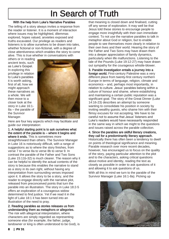# In Search of Truth

#### With the help from Luke's Narrative Parables

The telling of a story always invites a response from the reader or listener. It is a moment of interaction where issues may be highlighted, dilemmas explored, hopes valued, anxieties exposed and truths excavated. Our privilege as readers and listeners is to allow ourselves to be drawn into tales, whether fictional or non-fictional, with a degree of close attentiveness which enables the story to come alive. This is true whether in conversations with

others or in reading ancient texts, such as Luke's Gospel. In exploring this privilege in relation to Luke's parables it is worth asking, first of all, how we might approach these narratives as a whole. We will then move to a closer look at the story in Luke 16:1- 8a – the parable of the Survivor Manager.

![](_page_7_Picture_4.jpeg)

Here are four key aspects which may facilitate and guide our interpretation:

1. A helpful starting point is to ask ourselves what the extent of the parable is – where it begins and where it ends. This is sometimes more straightforward than others. The Survivor Manager in Luke 16 is notoriously difficult, with a range of suggestions as to where the story finishes, from verse 7 to verse 8a to verse 8b to verse 9. In contrast the parable of the Father and Two Sons (Luke 15:11b-32) is much clearer. The reason why it can be helpful to identify the actual contents of the story is because this enables the narrative to stand as a story in its own right, without having any interpretation from surrounding verses imposed upon it. It allows the story to be a story, and the reader to engage directly with the narrative plot, released from preconceived points that turn the parable into an illustration. The story in Luke 18:2-5 offers an exploration of a courageous widow determined to find justice. Yet if we read it in the light of Luke 18:1 it has been turned into an illustration of the need to pray.

#### 2. Reading parables as stories releases us from understanding them as metaphors or allegories.

The risk with allegorical interpretation, where characters are simply regarded as representing someone else (for example, the father, judge, landowner or king is often understood to be God), is

that meaning is closed down and finalised, cutting off any sense of exploration. It may well be that Jesus told these stories to encourage people to engage more insightfully with their own immediate context. To not use the narrative parables to talk in metaphor about God or religion, but to enable people to see themselves more clearly in relation to their own lives and their world. Hearing the story of the Father and Two Sons may have drawn them into a deeper appreciation of family dynamics, particularly when life malfunctions. Listening to the tale of the Pounds (Luke 19:12-27) may have drawn out sympathy for the courageous whistle-blower.

3. Parable investigation entails a journey into a foreign world. First-century Palestine was a very different place from twenty-first century northern Europe in terms of language, religion, climate and economics – and, perhaps most importantly, in relation to culture. Jesus' parables belong within a culture of honour and shame, where establishing and maintaining a certain public reputation was a significant goal. The story of the Great Dinner (Luke 14:16-23) describes an attempt by someone wanting to consolidate his position in society by inviting wealthy guests, who shame him with their flimsy excuses for not accepting. We have to be careful not to assume that Jesus' listeners and Luke's readers would have necessarily responded in the same way in which we might to the questions and issues raised across the parable collection.

#### 4. Since the parables are skilful literary creations, they call for a predominantly literary approach.

Historically there has often been a tendency to dwell on points of theological significance and meaning. Parable research over more recent decades, however, has encouraged us to focus on the quality of the story, paying particular attention to the plot and to the characters, asking critical questions about motive and identity, reading the text as closely as possible in order to ask questions of it and allowing it to ask questions of us.

With all this in mind we turn to the parable of the Survivor Manager (Luke 16:1-8a). Picking up

![](_page_7_Picture_14.jpeg)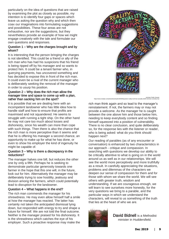particularly on the idea of questions that are raised by examining the plot as closely as possible, my intention is to identify four gaps or spaces which leave us asking the question why and which then coax our imaginations into formulating suggestions and possibilities. These four areas are not exhaustive, nor are the suggestions, but they nevertheless provide an example of how we might engage creatively with the tale and formulate our own questions and responses.

#### Question 1 – Why are the charges brought and by whom?

It is interesting that the person bringing the charges is not identified. This could be a friend or ally of the rich man who has had his suspicions that his friend is being ripped off by his manager and so wants to protect him. It could be a tenant farmer who, in querying payments, has uncovered something and has decided to expose this in front of the rich man. It could even be a rival of the current manager who is deliberately seeking the removal of the manager in order to usurp his position.

#### Question 2 – Why does the rich man allow the manager time and space to come up with a plan, rather than sacking him on the spot?

It is possible that we are dealing here with an incompetent landowner who has little idea how to handle staff and how to ensure that profits are maximised and not squandered. He seems to struggle with running a tight ship. On the other hand he may not care too much about losses and dishonesty, since his wealth can more than cope with such things. Then there is also the chance that the rich man is more perceptive than it seems and that he is offering his manager a second chance, an opportunity to make up for what he has done, or even to show his employer the kind of ingenuity he might be capable of.

#### Question 3 – Why is there a discrepancy in the reductions?

The manager halves one bill, but reduces the other one by only a fifth. Perhaps he is seeking to demonstrate particular generosity towards one farmer in the hope that this one will, in the future, look out for him. Alternatively the manager may be deliberately trying to sow hostility, jealousy and division among the farmers, which could potentially lead to disruption for the landowner.

#### Question 4 – What happens in the end?

The rich man commends the manager for his shrewdness. He may even allow himself half a smile at how the manager has reacted. The latter has certainly not taken the anticipated dismissal lying down, but responded with energy to try and shape a future for himself. We are not told the final outcome. Neither is the manager praised for his dishonesty. It is the shrewdness which catches the eye of his employer. Such a proactive response may make the

![](_page_8_Picture_9.jpeg)

rich man think again and so lead to the manager's reinstatement. If not, the farmers may or may not provide a welcome. As the manager he is caught between the one above him and those below him, needing to keep everybody content and so finding himself squeezed into a position of vulnerability. There is no clear conclusion, and quite deliberately so, for the response lies with the listener or reader, who is being asked: what do you think should happen next?

Our reading of parables (as of any encounter or conversation) is enhanced by two characteristics in our approach - critique and compassion. In searching with questions we develop our ability to be critically attentive to what is going on in the world around us as well as in our relationships. We will see the world more perceptively and more truthfully as a result. In carefully appreciating the situations, problems and dilemmas of the characters we deepen our sense of compassion for them and for those with whom we share the world. We will see others with greater truth, wisdom and understanding. If we are courageous enough, we will learn to see ourselves more honestly, for the very questions we bring to a parable, and the particular ways in which we understand the characters, will reveal to us something of the truth that lies at the heart of who we are.

![](_page_8_Picture_12.jpeg)

David Bidnell is a Methodist minister in Huddersfield.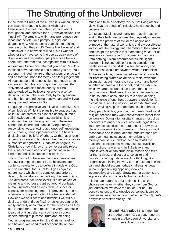# The Strutting of the Unbeliever

In the fortieth Surah of the Qu'ran it is written 'None can dispute about the Signs of Allah but the Unbelievers. Let not, then, their strutting about through the land deceive thee.' (translation Abdullah Yusuf Ali). To strut is to walk - and pronounce your ideas and beliefs - in a pompous, rigid, and dogmatic way. Are we being coaxed into thinking 'we reason but they strut'? Terms like 'believer' and 'unbeliever' are convenient labels, but I wonder whether they have come into use as quick ways of dismissing and diminishing people whose beliefs seem different from and incompatible with our own?

A clear way to demonstrate that you do not 'strut' is to assert how reasonable and humble you are. You are open-minded, aware of the dangers of pride and self-absorption, hope for mercy and fear judgement. All reasonable and responsible, not enough to be sincere and humble, you might then suggest that 'only those who also reflect deeply' will be acknowledged as believers: everyone else, by definition, is an unbeliever. Only by being sincere and humble, and reflecting deeply, can and will you recognise and believe in God.

Language is expressive yet it is also deceptive, and often illogical. While it is plausible to suggest that belief in God predicates a lot of sincerity, humble self-knowledge and moral responsibility, it is stretching the point to suggest that unbelievers cannot be sincere and humble, living morally responsible lives, showing authentic self-knowledge and empathy, being open-minded to the beliefs (including faith beliefs) of others. Or that, as a result of being sincere and humble in their fashion - say as humanists or agnostics, Buddhists or pagans, ex-Christians or don't-knows - they necessarily reject the spiritual dimension of life, persisting in some kind of materialistic bubble of scientism.

The strutting of unbelievers can be a pose of fear and over-compensation. It is, so believers often contend, natural for us to believe in gods or a God, and so unnatural for us not to. It goes against nature itself, which, in its complex and ordered design, demonstrates the working of a creator God. The alternative, for unbelievers, is a life devoid of meaning and purpose, centred around our basic human instincts and desires, with no space or capacity for reasoning, moral improvement, and no openness to the possibility of the transcendental. How can we be sincere and humble if we put our desires, pride and ego first? Unbelievers cannot be really and truly accountable for their choices as they don't understand - and reject - the very reasonable idea that only in belief can you have a cogent understanding of purpose, truth and meaning. Yet, as progressives within the Christian tradition

and beyond, we need to reflect honestly on how

much of a false dichotomy this is. Not liking others' views lays the seeds of prejudice, hate speech, and censorship.

Christians, Muslims and many more apply reason in and to their faith: we can see that regularly when we discuss the problem of evil or the origins and purpose of the natural world. It is entirely possible to investigate the biology and chemistry of the cosmos and accept the premise that 'something must - or at least may - have come from something, and not from nothing'. Islam accommodates intelligent design. It is not incredible for us to consider the Beatitudes as a checklist in a secular world, and mindfulness would be nowhere without Buddhism.

At the same time, open-minded secular arguments, far from being crafted as atheistic rants, welcome discussion about moral choices, reason and belief, whether we have one life or not, and the extent to which we are accountable to each other in the common good. Red lines do occur - they are bound to do so: about accountability to a spiritual being, the existence of one, how trustworthy revelation is as evidence, and life beyond. Alister McGrath and A. C. Grayling help us understand such debates.

Many people today, young and old, resist traditional religion because they want conversation rather than conversion. Going into hospital changes most of us - believers to angry sceptics, articulate agnostics into humble ascetics: the moral matrix is always a place of movement and journeying. They also want reasonable and tolerant debate: atheism does not embrace meaninglessness, humanism is not morally narcissistic, and we need to revisit the traditional conceptions we have about crucifixion, resurrection, heaven and hell. Believers and unbelievers alike can strut, claim reason and truth for themselves, and set out to colonize and proselytize in dogmatic ways. Our thinking, like progressive thinking in every form of faith and belief, can and should accommodate challenging ideas without representing opposing views as incompatible and stupid. Straw-man arguments are legion - and a sign of intellectual opportunism.

It is human nature to strut at times: like all the choices we have, whether they come from God or just ourselves, we have the option - or not - to deceive others and to deceive ourselves. It can be dangerous, as Christian found when in The Pilgrim's **Progress he visited Vanity Fair.** 

![](_page_9_Picture_10.jpeg)

Stuart Hannabuss is a member of the Aberdeen PCN group, honorary chaplain at Aberdeen University, and an active musician.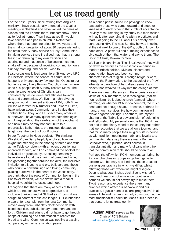# Let us tread gently

For the past 3 years, since retiring from Anglican ministry, I have occasionally attended the Quaker meetings in Sheffield and have valued the times of silence and the Friends there. But somehow I didn't quite feel 'at home'. Then I was asked if I would take services at a parish church in Rotherham where there had been no priest for two years and the small congregation of about 30 people wished to maintain their Sunday service of Holy Communion. In taking services there I realised that I had a strong feeling of returning to my own tradition and upbringing and that sense of belonging. I cannot shake off the decades of receiving communion on a Sunday morning, and nor do I wish to.

I also occasionally lead worship at St Andrews URC in Sheffield, where the service of communion happens only once every few months. Opposite our home is a very lively Roman Catholic church where up to 400 people each Sunday receive Mass. The worship experiences of Christians vary considerably, as do views and attitudes towards rites and ceremonies. We live in a richly diverse religious world. In recent editions of PV, both Brian Wilson (a former PCN trustee) and Edward Hulme, have written about Communion and I value their contributions. They, and I suspect many others in our network, have many questions both theological and liturgical about the celebration of the eucharist and how it may or may not contribute to a progressive faith. Indeed, the trustees debated at length over the fourth of our 8 points.

In our Together in Hope booklets, 'Re-thinking Worship?' Jan Berry helpfully explored how we might find meaning in the sharing of bread and wine at the Table consistent with an open, questioning approach to faith, and I do commend the booklet for individual or group study. Speaking personally, I have always found the sharing of bread and wine, the gathering together around the altar, the inclusive invitation to all, young and old, believers and those who doubt, a powerful sign of a loving community placing ourselves in the heart of the Jesus story. If we think about the roots of Communion being in the Passover tradition, we are drawn into a meal of hospitality, solidarity, justice and hope.

I recognise that there are many aspects of this rite which are not conducive to progressive and inclusive thinking, and at St Marks in Broomhill we sought to confront these challenges. Our eucharistic prayers, for example from the Iona Community, moved away from unhealthy doctrines to do with blood sacrifice, substitutionary atonement and so forth. Children and adults did not have to go through hoops of learning and confirmation to receive the bread and wine. Communion was not like a passing out parade, with an examination passed.

As a parish priest I found it a privilege to know pastorally those who came forward and stood or knelt next to each other in that circle of acceptance. I vividly recall listening in my study to a man racked with guilt after spending time with a prostitute, and fearful of going to the GP about his anxiety over contracting HIV. The next Sunday he was kneeling at the rail next to one of the GP's, both unknown to each other. A powerful and humbling experience to give each of them that wafer and say to them, 'The Body of Christ, Broken for You.'

We live in binary times. The 'Brexit years' may well go down in history as the most divisive period in modern British politics. Division, discord and denunciation have also been common characteristics of religion. Through religious wars, through the Reformation, to the assault of the 'new' atheists, a paradigm of hard disagreement and dissent has weaved its way into the collage of faith. There are clear differences in the experiences and views of PCN members, be it theological (realism/ non-realism)- be it about church (damaging/heartwarming) or whether PCN is too cerebral, too much head and not enough heart. For some, perhaps for many, church services like holy communion will evoke negative feelings. For others, like myself, sharing at the Table is a powerful sign of belonging and fellowship. My personal view, is that PCN must not add to the binary mood of the country but rather that we recognise that we are all on a journey, and that for so many people their religious life is bound up with tradition, upbringing, habit and loyalty to a community. I dare say there are many Roman Catholics who, if pushed, don't believe in transubstantiation and many Anglicans who think that the communion table should be open to all.

Perhaps the gift which PCN members can bring, be it in our churches or groups or gatherings, is to explore with honesty and kindness those areas of our religious practice in which we differ, whilst affirming those with whom we might disagree. Despite what dear Bishop Jack Spong wished for, head and heart do not always go together and perhaps we should not always try to make them. Twixt reason and experience there are many nuances which affect our behaviour and our practices. I guess none of us are 'progressive' in all areas of life and if sharing in holy communion at the most traditionalist Tridentine Mass fulfils a need in that person, let us tread gently.

Adrian Alker serves as the Chair of PCN Britain [adrian.alker@pcnbritain.org.uk](mailto:adrian.alker@pcnbritain.org.uk?subject=Response%20to%20Chair) 

![](_page_10_Picture_9.jpeg)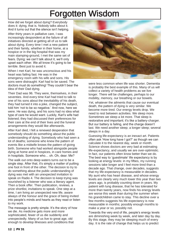# Forgotten Wisdom

How did we forget about dying? Everybody does it: dying, that is. Nobody talks about it. And it turns out that the silence isn't helping.

After thirty years in palliative care, I was increasingly despondent at the failure of all initiatives directed at getting all of us to talk about dying. Every time I met a new patient and their family, whether in their home, at a hospice or in the big hospital that was my main stamping-ground, I met the same set of fears. Dying: we can't talk about it, we'll only upset each other. We all know it's going to be terrible. Best just to avoid it.

When I met Karl, he was unconscious and his heart was failing fast. He was in the

emergency room with his wife and sons. His sons were distraught: Karl had to be saved. The doctors must do something! They couldn't bear the idea of their Dad dying.

Their Dad was 96. They were, themselves, in their seventies. And every time Karl had tried to talk to one of his sons about the inevitability of his death, they had turned it into a joke, changed the subject, told him 'not to be so negative.' And now, here we were. He was dying, and his sons had no idea what type of care he would want. Luckily, Karl's wife had listened; they had discussed their preferences for their care at the end of their lives and the funeral arrangements they would like afterwards.

After Karl died, I felt a renewed desperation that somebody should do something about the public understanding of dying. Somebody who had seen a lot of deaths; someone who knew the pattern of events like a midwife knows the pattern of giving birth. Someone who had worked alongside people dying at home and in hospices, in care homes and in hospitals. Someone who… oh. Oh, dear. Me?

The walk out onto deep waters turns out to be a single step. After that, it's simply a matter of putting one foot in front of the other. The decision to try to do something about the public understanding of dying was met with an unexpected invitation to speak on Radio 4. The decision to keep trying was nourished by a listener who was a literary agent. Then a book offer. Then publication, reviews, a prize shortlist, invitations to speak. One step at a time, I am living an unexpected new life, aware always of the honour and the grace of being invited into people's minds and hearts as they read or listen to my work.

The message is pretty simple. It's the story of how we die. As medicine gets more and more sophisticated, fewer of us die suddenly and unexpectedly. Many of us live to great age, old enough to develop illnesses and conditions that

![](_page_11_Picture_9.jpeg)

were less common when life was shorter. Dementia is probably the best example of this. Many of us will collect a variety of health problems as we live longer. There will be challenges, perhaps to our mobility, memory, our breathing or our bowels.

Yet, whatever the ailments that cause our eventual death, the pattern of dying is very similar. We become more tired. Our energy levels drop. We need to rest between activities. We sleep more. Sometimes we sleep a lot more. That sleep is restorative and important; it's like a battery-charger. But our battery is failing, and the charge doesn't last. We need another sleep; a longer sleep; several sleeps in a day.

Guessing life-expectancy is an inexact art. Patients often ask 'How long have I got?' as though we can calculate it to the nearest day, week or month. Science shows doctors are very bad at estimating life-expectancy, and usually we are over-optimistic. In fact, our patients often know better than we do. The best way to 'guestimate' life expectancy is by looking at energy levels: in my fifties, my running sessions take longer and I feel more tired than a decade ago. That change, over decades, suggests that my life-expectancy is measurable in decades. My aunt who has heart disease, and whose energy levels are clearly very much lower this year than two years ago, is probably counting down in years. My patient with lung disease, that he has tolerated for more than twenty years, now finds his energy levels are worse this week than during the summer when his grandchildren came to stay. This decline over a few months suggests his life expectancy is now measurable in months; possibly enough months to make a year or so, possibly not.

Towards the very end of life, people's energy levels are diminishing week by week, and later day by day. By this stage, they may be sleeping much of every day. It is the rate of change that helps us to predict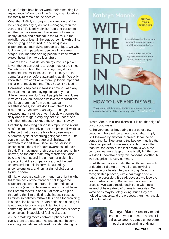('guess' might be a better word) their remaining life expectancy. When to call the family; when to advise the family to remain at the bedside.

What then? Well, as long as the symptoms of their life-ending illness(es) are well-managed, then the very end of life is fairly similar from one person to another. In the same way that every birth seems utterly unique and personal to the Mum, but the midwife recognises all the stages, so it is with dying. Whilst dying is as individual and unique an experience as each dying person is unique, we who look after dying people recognise all the same stages. We find that helping people to know what to expect helps them to be less afraid.

Towards the end of life, as energy levels dip ever lower, the person begins to sleep most of the time. Sometimes, without them noticing, they dip into complete unconsciousness – that is, they are in a coma for a while, before awakening again. We only know this if we can't wake them up for an important visitor or at medicine time. They haven't noticed it.

Increasing sleepiness means it's time to swap any medications that keep symptoms at bay to a different route: we don't want people to miss doses if we can't waken them to swallow the medications that keep them free from pain, nausea,

breathlessness, etc. We don't want them to be disturbed by symptoms. Usually, the drugs are swapped into a syringe driver that slowly pumps the daily dose through a very tiny needle under their skin; the right dose to keep the symptoms away.

Eventually, the dying person is simply unconscious all of the time. The only part of the brain still working is the part that drives the breathing, keeping an automatic cycle of breathing going for a while. The cycle moves between deep and shallow, and between fast and slow. Because the person is unconscious, they don't have awareness of their throat. This may mean their vocal cords are not fully relaxed, so the out-breath may vibrate the voicebox, and it can sound like a moan or a sigh. It's important that the companions around the bed understand that this is normal, caused by unconsciousness, and isn't a sign of distress or trying to speak.

Similarly, because saliva or mouth-care fluid might fall to the back of the throat but not trigger the coughing, spluttering, throat-clearing reflexes a conscious (even while asleep) person would have, their breath moves in and out of their wind-pipe through a thin film of fluid, bubbling as it passes. Families sometimes mistake this noise for drowning; it is the noise known as 'death rattle' and although it is odd and disconcerting to listen to, it is a comforting indication that the dying person is deeply unconscious: incapable of feeling distress.

As the breathing moves between phases of this cycle, there are pauses. The pauses can become very long, sometimes followed by a shuddering in-

![](_page_12_Picture_8.jpeg)

'There aren't all that many books that change the way you see the world. This book really might...' SUNDAY TIMES

breath. Again, this isn't distress, it is another sign of unconsciousness.

At the very end of life, during a period of slow breathing, there will be an out-breath that simply isn't followed by another in-breath. It can be so gentle that families around the bed don't notice that it has happened. Sometimes, and far more often than we can explain, the last breath is while the companions are asleep or have briefly left the room. We don't understand why this happens so often, but we recognise it is very common.

So all those Hollywood deaths; all those moments of deathbed drama on TV; all those terrifying scenes in our heads: they are wrong. Dying is a recognisable process, with clear stages and a natural progression. It's sad, because we love the person who is dying. But we need not fear the process. We can console each other with facts instead of being afraid of dramatic fantasies. Our loved ones may be left grieving, but if they are helped to understand the process, then they should not be left afraid.

![](_page_12_Picture_13.jpeg)

**Kathryn Mannix recently retired** from a 30-year career, as a doctor in palliative care, to campaign for better public understanding of dying.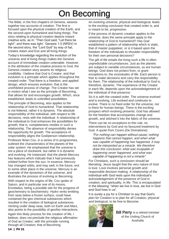# On Becoming

The Bible, in the first chapters of Genesis, weaves together two accounts of creation. The first is focused upon the physical creation of the Earth, and the second upon humankind and living things. The story relating to physical creation depicts instant creative acts, as in: 'Then God said, "Let there be light"; and there was light.' Genesis 1:3 (NRSV) In the second story, the "Lord God" by way of fiat, creates Adam and Eve and all living things.

Today's knowledge regarding the evolution of the universe and of living things makes the Genesis account of immediate creation untenable. However, in the attribution of the creative process to God, the Genesis creation story asserts its religious credibility. I believe that God is Creator, and that evolution is a principle which applies throughout the created order. That there is a freedom, and applied design, which ensures evolution: that is the uninhibited process of change. The Creator has set in motion what I see as the principle of Becoming, that allows for and encourages growth. Which, once established, leads to unbridled possibilities.

The principle of Becoming, also applies to the relationship of God to humankind. That relationship is not fettered, rather it is dynamic. The absolute responsibility of the individual, with respect to life decisions, rests with the individual. A relationship of the individual to God enhances the possibilities for growth; that is, completeness resides in such a relationship. The absence of responsibility denies the opportunity for growth. The acceptance of responsibility aligns the God/person relationship.

Professor Brian Cox, in a series of tv programmes, outlined the characteristics of the planets of the solar system. He emphasised that the universe is not a piece of clockwork, but rather it is dynamic and evolving. He instanced, that the planet Mercury has features which indicate that it had previously orbited further from the sun. In essence, Mercury has changed orbits, and may well, in the future, exit to some other place in the universe. Mercury is an example of the dynamism of the universe, and illustrates the process of evolving or Becoming.

With respect to the origins of life, Cox spoke of Saturn, and in particular one of its moons, Enceladus, being a possible site for the progress of geochemistry to biochemistry. Hydro vents emitting from seas below a frozen surface, could have contained the geo chemical substances which resulted in the creation of biological substances. Venting under deep seas, both on Earth and Mars, also points to the possibility of geo/bio interactions.

Again this likely process for the creation of life, I believe, does not preclude the religious affirmation of God as Creator, with the principle running through all Creation; that of Becoming.

An evolving universe, physical and biological, leads to the exciting conclusion that created order is, and is meant to be, progressive.

If the process of dynamic creation applies to the universe, does the same principle apply to the relationship of God to humankind? Has God established a pattern of relationship which is static, that of master puppeteer, or is it based upon the freedom of the individuals to shoulder responsibility for their own personal decisions?

The gift of life entails the living such a life in often unpredictable circumstances. Just as the planets are subject to variable circumstances, so are human beings. God does not protect from, or grant exceptions to, the vicissitudes of life. Each person is free to make decisions and carry the responsibility for them. The relationship of the individual to God is, therefore, dynamic. The experience of the Creator in each life, depends upon the acknowledgement of the individual of that presence.

So it is with the created order. The universe evolved and is evolving. Life evolved and continues to evolve. There is no fixed order for the universe, nor is there for human beings. There is the exciting prospect which evolving presents. God has allowed for the freedom that accompanies change and growth, and stitched it into the fabric of the universe.

There can be no exceptions to this rule; no interventions by God and no favoured treatment by God. A quote from Cicero (De Divinatione):

"For nothing can happen without cause; nothing happens that cannot happen, and when what was capable of happening has happened, it may not be interpreted as a miracle. We therefore draw this conclusion: what was incapable of happening never happened, and what was capable of happening is not a miracle".

For Christians, such a conclusion should be liberating. Jesus taught that the very nature of God is love. Love involves personal growth and responsible decision making. A relationship of the individual with God rests upon the individual's acknowledgement of the presence of God in creation, and spirituality, in life. This is encapsulated in the blessing: "when we live in love, we live in God and God lives in us".

It is surely a joy for a Christian to say that God's plan for Creation is to plan for all Creation, physical and biological, to be free to Become.

![](_page_13_Picture_15.jpeg)

**Bill Perry** is a retired minister of the Uniting Church of Australia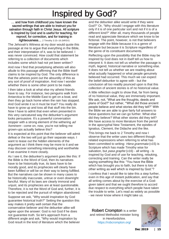# Inspired by God?

… and how from childhood you have known the sacred writings that are able to instruct you for salvation through faith in Christ Jesus. All scripture is inspired by God and is useful for teaching, for reproof, for correction, and for training in righteousness… 2 Timothy 3:15–16 (NRSV)

The Jehovah's Witness at my door would quote this passage at me to argue that everything in the Bible, and their interpretation of it, was to be believed. I was never convinced. How could that statement be referring to a collection of documents which includes some which had not yet been written?

And now I find that proselytising atheists will also allude to this passage affirming that the Bible itself claims to be inspired by God. The only difference is that the atheists point out the absurdity of this as any sort of proof of inspiration. And now I wonder whether there is some other point to be made.

I then take a look at what else my atheist friends have to say. For instance, two penguins walk from Antarctica to the Middle East to get on a boat, and then they go back home when the rain has stopped. And God wrote it so it must be true? You really do have to grow up and toss all that stuff into the bin. Now I have to admit that even when presented in this very caricatured way the debunker's argument looks persuasive. It's a powerful conversation stopper with a strong element of the withering ad hominem - come on, now, you're not telling me grown-ups actually believe this?

It is expected at this point that the believer will admit defeat or the two will just go their separate ways. I want to tease out the hidden elements of the argument as I think there may be more to it and we may discover something interesting and worthwhile if we examine it more closely.

As I see it, the debunker's argument goes like this: If the Bible is the Word of God, then its narratives have to be historically true, its laws have to be morally good, and its prophecies will clearly have been fulfilled or will be on their way to being fulfilled. But the narratives can be shown in many cases to be historically inaccurate, untrue or even downright fanciful. Many of its laws are clearly immoral and unjust, and its prophecies are at least questionable. Therefore, it is not the Word of God and, further, it is to be rejected and the pursuit of religion abandoned.

Suppose we ask, "Why would inspiration by God guarantee historical truth?" Setting the question this way makes it pretty well certain that the conservative believer and the debunker alike will agree upon the answer: God is not God if he does not guarantee truth. So let's approach from a different angle and ask, "Why would inspiration by God result in the kind of literature which the believer

and the debunker alike would write if they were God?" Or, "Why should I engage with this literature only if it is of one particular sort and not if it is of a different kind?" After all, many thousands of people read and appreciate literature which we know to be fictional. The point, however, is not that believers engage with the Bible because it is a genre of literature but because it is Scripture regardless of the genre of its constituent documents.

Reflecting upon the possibility that the Bible may be inspired by God does not in itself tell us how to interpret it. It does not tell us whether the passage is myth, legend, historical narrative or something else. It does not tell us whether we are reading about what actually happened or what people genuinely believed had occurred. This much we can expect the belief-debunker to agree with - but the conclusion all too readily pounced upon is that this collection of ancient stories is of no historical value. A little reflection ought to show that, far from being

of no historical value, they are immensely important. We ask, not, "What are the thoughts, deeds and plans of God?" but rather, "'What did those ancient people believe and what stories did they tell?" With the Bible we are able to give fairly full answers to these questions but we can go further. What else did they believe? What other stories did they tell? We have access to more literature from the period in the apocryphal New Testament, the epistles of Ignatius, Clement, the Didache and the like.

This brings me back to 2 Timothy and now I observe that the writer uses two different though related expressions when referring to what has been committed to writing: Hiera grammata (v15) is Scripture which has made Timothy wise for salvation, but *pasa graphe* (v16) - all writing - is inspired by God and of use for teaching, rebuking, correcting and training. Can the writer really be saying something like this: "You have the Bible which has brought you to faith, but there is lots of other writing as well which is inspired by God."?

I confess that I would like to take this a step further, even in this age of instant publication, and say that all writing comes about by the exercise of a Godgiven talent and that we ought therefore to accord due respect to everything which people have taken the trouble to write. Let's read as widely as possible - we never know where it might take us.

Robert Crompton is a writer and retired Methodist minister living in Herefordshire. <https://robcrompton.org/>

![](_page_14_Picture_14.jpeg)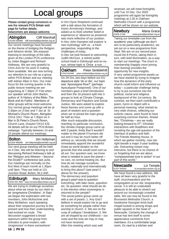# Local groups

Please contact group convenors or see the relevant PCN Britain web page for further details.

Newcomers are always welcome.

Abingdon Cliff Marshall 01235 530480 cliff.marshall@pcnbritain.org.uk

Our recent meetings have focused on the theme of bridging the Religion and Atheism divide. We enjoyed listening to recordings of the talks given at the London PCN conference by Julian Baggini and Richard Holloway. We are very grateful to Chris Avis for his work in making them available. We are now turning our attention to our role as a group within PCN Britain and our meeting with Adrian Alker in Nov. Our main focus for the coming quarter is the public lecture meeting we are organising at 7.30pm 27 Feb when our speaker will be John Barton, author of 'A History of the Bible: The Book and its Faiths'. Members of other groups will be most welcome. Our normal group meetings will be at 2.30pm on 3 Dec and 7 Jan at St Michael's Church Room, Abingdon OX14 1DU. Then at 7.30pm on 3 Mar in St Peter's Church Room, Church Lane, Drayton OX14 4JS. All details will be on our PCN Britain webpage. Typically between 14 and 20 people attend our meetings.

**Bolton** Jim Hollyman 01204 456050 jim.hollyman@pcnbritain.org.uk

Our next group meeting will be held on 4 Dec. We will be listening to and discussing Richard Holloway's talk at the "Religion and Atheism – Beyond the Divide?" conference last June. Our meetings are normally on the first Wed of each month at 1.30pm until 3pm. They are held at 121 Junction Road, Bolton, BL3 4NF.

Edinburgh Mary McMahon 0131 441 3337 mary.mcmahon@pcnbritain.org.uk

We are trying to challenge ourselves about what we mean by our claim to be 'progressive Christians'. In Sept we began the exploration with two members, John McKechnie and Mary McMahon, each speaking about their respective journey to the present and how their understanding had evolved en route. The discussion suggested a broad spectrum within the group from orthodox to post-modern, with 'progressive' in there somewhere!

In Oct Clyne Shepherd continued with a talk about the formation of Karen Armstrong's theology, and asked us to think whether belief or experience or 'absence as presence' was more reflective of our position. In Nov John Hampton will explore 'a new mythology' with us - a fresh perspective, responding to the challenges of today.

In Dec we look forward to welcoming Judith McClure, a retired public school head in Edinburgh and an exnun, whose topic is 'Once a nun….'

Oakham Peter Stribblehill 07918 916466 peter.stribblehill@pcnbritain.org.uk

On 29 Oct, two days before our EU departure date 'do or die', our topic was 'Apocalypse Now?' (perhaps Apocalypse Postponed). One of our members gave a brief introduction and then the 18 present split into 3 groups to look at Climate Change, Democracy and Populism and Social Justice. We were asked to explore these themes and come up with a pearl of wisdom and a question when we re-joined the main group for half an hour.

After much enjoyable discussion, reaching no particular conclusion, the climate change group came up with 2 pearls; firstly that it wouldn't matter to the planet if humans die out and it may be much better off without us, secondly that we should immediately appoint the wonderful Greta as world dictator on the grounds that she would soon sort us all out. Our question was: we know what is needed to save the planet – no cars, no central heating etc. But how do we manage ourselves locally, nationally and internationally to bring this about? (see pearl 2 above for the answer). The democracy and populism group's pearl was to question everything, with fake news, populism etc. Its question: what should we do in the election when sovereignty is returned to the people? The social justice group came up with a set of pearls: 1. Any God I believe in would expect me to go and do something for people rather than worship in church. 2. We are on the cusp of collapse / breakdown. 3. We are all shaped by our childhood – our roots and the love we may or may not have received.

After this meeting which was well

received, we will meet fortnightly until Tue 10 Dec. Our 2020 programme will again be fortnightly meetings at 2.30 in Oakham Methodist Church with a programme which will be shown on our website.

**Newbury** Maria Grace<br>01635 47196 maria.grace@pcnbritain.org.uk maria.grace@pcnbritain.org.uk

Taking our timetable cue from the academic year (although we don't aim to be particularly academic), we set out on a new programme from Sept. We are on our second pass round the 8 Points, taking them in turn, with brief illumination, as a way to start our meetings. The churn in membership (happily more joining than leaving) provides the opportunity for new insights. A very varied programme awaits us: we have started by trying to imagine how the dynamics of the early church could inform and influence us today – a particular challenge being to try to put ourselves into the political, social and religious background of the 1st century. By contrast, we then each contributed a poem, hymn or object with a personal meaning; what started as very wide choices, reflecting our eclectic nature, were found to have surprising common themes. Ahead lies: "Christmas – are we really looking forward to it?"; Christian interactions with Buddhism and revisiting the age-old question of the interface of politics and faith. The Friends Meeting House, in which we gather monthly, now sits right beside a major 3-year building site. Distracting noises may intervene, but there is no chance of us forgetting that we are about "compassionate love in action" in our part of this world."

## **Newcastle** Liz Temple

liz.temple@pcnbritain.org.uk

We have found a new address. We have all been very grateful to the staff, churchwardens and the congregation at our old, longstanding venue. It is still an undoubted pleasure to be able to stretch out around our increasingly crowded table. We can now be found in the Brunswick Methodist Church, a handsome Georgian brick-built chapel tucked in among shops and public squares in the heart of Newcastle. Certainly the change of venue has lent itself to some appreciative comments from members: it's a comfortable large room, it's next to a kitchen and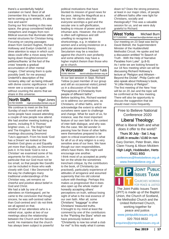there's a wonderfully helpful caretaker on hand. Best of all (remember this is Newcastle, and we're coming up to winter), it's also nice and warm!

During our first meeting in this new space, the group considered helpful metaphors and images from non-Biblical sources that illuminate other mental structures for Christian living. Focusing on varying passages drawn from Gerard Hughes, Richard Holloway and Evelyn Underhill, Liz drew attention to ways in which such ideas could offer a move away from laying down thoughts/concerns/ petitions/thanks 'at the foot of the cross' towards a gradual accumulation of other mental images. Chief among them is quite possibly (well, for me anyway) Underhill's description of the 'scrawny alley cat' as being imbued with divine cosmic significance: I will never see a scrawny cat again without counting the atoms that we share in this universe.

**North Staffs** Nigel Jones<br>01782 632895 nigel.jones@pcnbritain.org.uk 01782 632895 nigel.jones@pcnbritain.org.uk

We continue to meet on the first Sunday of each month and while some people have ceased attending a couple of new people now attend. We had another meeting looking at poems, including R S Thomas' brighter ones, i.e. The Bright Field and The Kingdom. We had two meetings discussing Desmond Tutu's approach. From his book 'God has a Dream' we looked at the freedom God gives us and Equality yet more than Equality, as Desmond puts it. In his book 'God is not a Christian' we examined some of his arguments for this conclusion, in particular that our God must not be too small, so that people like Gandhi can be included in those who walk closely with God. I like Desmond for the way he challenges many traditional understandings of the Christian way, yet remains so cheerful and positive about belief in God and Christ.

We had a talk by one of our attendees on Kierkegaard, yet he came to the conclusion that though sincere, he was self-centred rather than God-centred and I do not think we all agreed on that.

Another of our attendees who is a retired vicar, spoke at two of our meetings about the relationship between the Church and the Secular world. He maintains that the church has always been subject to powerful

political motivations that have blunted its mission of good news for the poor, taking the Magnificat as a key text. He claims also that everyone worships a god and the secular one is self-glorification, leading to misuse of power and evil inhuman acts. However, the church is often self-righteous and still unwilling to recognise its shortcomings, e.g. in relation to women and a wrong insistence on a particular atonement theory. Secularism may be a reaction against the church's own profanity and some atheists may have a higher implicit theism than those who go to church.

**N Worcester** David Tubb<br>01562 884344 david.tubb@pcnbritain.org.uk david.tubb@pcnbritain.org.uk

At our last session in Sept, Richard Tetlow (a past member of our group and still an occasional visitor) joined us in a discussion of his book "Perceptions of Christianity from people of different faiths". Before tackling this, Richard wanted us to address our perceptions, as Christians, of other faiths, and to acknowledge the extent to which we ourselves were open to challenge and change. What for each of us, for instance, was the most important feature of our own faith in the context of inter-faith dialogue, and why was this the case. We did wonder in passing how far those of other faiths were themselves prepared to be open to critical examination in what for all of us of any religion is a very sensitive area of our lives. We have though our own responsibilities, others have theirs. We might well encourage one another. I think most of us accepted as pretty fair on the whole the sometimes trenchant critique, by the contributors to the book, of Christianity (as practised), particularly experience of attitudes of arrogance and assumed superiority that mix old colonial culture with theology. Perhaps this makes us progressive! But it does also open up the whole matter of honestly accepting others' perceptions on truth, without losing sight of what is the real essence of our own faith. After all, some Christians' "baggage" is other Christians' treasured truths. It brought to my mind at least the comment by one of the contributors to the "Painting the Stars" which we have previously looked at: "Christianity is now too small a club for me!" Is this really what it comes

down to? Does the strong presence. at least in our major cities, of people of different faiths offer new light for Christians, socially and theologically? This was a valuable session for us, and we were duly grateful to Richard.

#### West Yorks Michael Burn 07712620303 michael.burn@pcnbritain.org.uk

Our meeting on 23 Sept was led by David Bidnell, the Superintendent Minister of the Huddersfield Methodist Circuit. He spoke and led a discussion entitled "In Search of Truth - With the Help of Narrative Parables from Luke". (p.8-9) As I write we are looking forward to our 18 Nov meeting when we will be discussing Richard Holloway's lecture at "Religion and Atheism - Beyond the Divide". Philip Carlin will also speak about Holloway's book, "A Little History of Religion". The first meeting of the New Year will be on 20 Jan and the topic will be confirmed at the Nov meeting. There will also be opportunity to discuss the suggestion that we should meet more frequently.

## Free to Believe National Conference 2020

## Liberal Theology:

What is liberal faith and what does it offer to the world?

#### Thurs 30 July - Sat 1 Aug

£185 in ensuite / £160 in non Gary Dorrien, Peter Brain, Alex Clare-Young & Alison MicklemHigh Leigh, Hoddesdon, Herts

## EN11 8SG

[conferences@freetobelieve.org.uk](mailto:conferences@freetobelieve.org.uk?subject=via%20PV) [www.freetobelieve.org.uk](http://www.freetobelieve.org.uk)

![](_page_16_Picture_20.jpeg)

The Joint Public Issues Team (JPIT) is made up of the Baptist Union, the Church of Scotland, the Methodist Church and the United Reformed Church, working together for peace and justice.

[www.jointpublicissues.org.uk](http://www.jointpublicissues.org.uk)

020 7916 8632 [enquiries@jointpublicissues.org.uk](mailto:enquiries@jointpublicissues.org.uk?subject=via%20PV)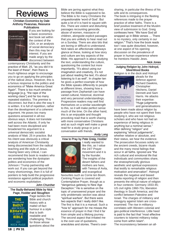#### ï I Reviews

#### l Christian Economics by Dale Anthony Pivarunas, Resource **Publications**

![](_page_17_Picture_2.jpeg)

If you are looking for a basic economics text book set within the context of the USA, or an analysis of social democracy then this may be of interest. If you are made angry by the disconnect between

contemporary Christianity and the practice of Matt. 25, "as you did it to the least of these", then there is much righteous anger to encourage you to go on applying the principles of the radical Jesus. However, this is a furious response to the politics and economics of "Make America Great Again". There is too much emotive language [e.g. "the rape of the working class"] and far too many repeated statistics. The premise is disconnect, but that is also the way it is written. It is full of repetition, rather than the development of a coherent argument. He poses too many questions answered in all-too obvious ways. It does not translate well across the Atlantic. If only he had been more disciplined and broadened his argument to a universal democratic socialist analysis of Matt. 25 in practice. But his intent was obviously a critical analysis of American Christianity being disconnected from the radical teaching and life-style of Jesus. Having been very critical, I can recommend this book to readers who are wondering how the dystopian politics and economics of the Johnson / Trump partnership will work out. If you can get beyond the many shortcomings, then it is full of pointers to help build the progressive resistance against political populism and economic exploitation.

## John Churcher

 The Badly-Behaved Bible by Nick Page, Hodder and Stoughton

![](_page_17_Picture_7.jpeg)

Page tackles the Bible and church history with a matter-of-fact humour in a style that is both readable and challenging. This is for those whose questions about the Bible are jarring against what they believe the Bible is supposed to be. The Bible is for many Christians the unquestionable 'word of God'. But quite a lot of it is hard to square with this. There are violent and disturbing passages recounting genocide, abuse of women, massacre of children, alongside explicit passages that you are unlikely to hear read out on a Sunday. There are also bits that are boring or difficult to understand. Nick takes an affectionate sideways glance at these, looking at how story and culture are key aspects of the Bible. His approach is about studying the text, understanding the culture, questioning the content but more importantly, "it's about using our imagination and creativity, it's not just about reading the text, it's about listening to it as well". In chapter ten he gives a perfect example of how the Bible speaks differently to people at different times, showing how a passage from Zephaniah can have varied cultural, historical, doctrinal and very personal understandings. Progressive readers may well find themselves on a similar wavelength to this, so it will make perfect sense much of the time. On the other hand, this is an enjoyable and thought provoking read that is worth sharing with more conservative Christians and as such might well make a great read for a study group or just a conversation with friends.

#### Andy Long

How to Pray by Pete Greig, Hodder

![](_page_17_Picture_12.jpeg)

I really wanted to like this, as I value the 24/7 Prayer movement and it is by the founder. The insights of the desert fathers and mothers are here, with Teresa of Avila, and evangelical

favourites such as Corrie ten Boom. Centring Prayer is covered and Contemplative Prayer, though as a "dangerous gateway to New Age Deception." He is sensitive on the topic of unanswered prayer and the only problematic section was about "spiritual warfare". But there were two aspects that I really didn't like. The first is that it is a manual. Such a "how to" approach for me misses the essence of prayer in that I find it far from simple and a lifelong journey. The second aspect that irritated me is the over-use of quotations, anecdotes and stories. There's oversharing, in particular the illness of his wife and its consequences. The book is intriguing in the fleeting references made to the prayer practice of other faiths. There is a brief positive treatment of the Muslim view of submission to God. Greig confesses here: "We have God all wrapped up in Bible verses … There is no mystery, only certainty in our religion." That's how the book reads too! I was quite disturbed, however, at one aspect of his opening discussion on the prevalence of prayer in human experience where he mentions Hasidic Jews.

#### Nick Jones

#### Judging Religion by John Holroyd, SilverWood Books

Religion is in the dock and Holroyd

![](_page_17_Picture_19.jpeg)

pleads for the defence against: Richard Dawkins, Christopher Hitchens, Daniel Dennett and Sam Harris. He attacks their expertise: "Huge judgments and generalisations

have been made about religion by people who have not spent their lives studying it, who are not religious scholars and who have not had an experience of being religious in anything but a nominal sense." After defining "religion" and explaining "ethical judgements", whether relative or absolute, and their status, we hear the evidence. The prosecution focusses solely on the ancient creeds, bizarre rituals and the many moral failings that occur in all faiths. Ignored are "the rich cultural and emotional life that individuals and communities share, the stratospherically glorious aesthetic and spiritual expressions that testify to remarkable religious motivation and enervation". Holroyd reveals the negative and biased media reporting of religion and then presents the ethical nature of religion in four contexts: Germany 1933-45; US civil rights 1960-70s; liberation theology in South America; and the conflict between Palestine and Israel. The charges of militancy and misogyny against Islam are crossexamined. The rise in militancy correlates with Western colonial and geo-political interference. Little heed is paid to the fact that "most effective counters to Islamist militancy today come from within Islam".

The inconsistency between an all-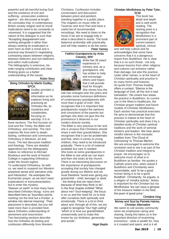powerful and all-merciful loving God and the existence of evil and suffering - prosecution evidence against - are discussed at length. He concludes that: in contemporary British society religion and its moral implications need to be constantly re -assessed. It is suggested that the nature of this dialogue is such that: "Accepting disagreement and working alongside it rather than always seeking its eradication is seen here as both a moral and a practical way forward in negotiating contrasting values between religions, between believers and non-believers and within multi-cultures." The bibliography is extensive, his wide-ranging contribution and clear thinking gives us a better understanding of the issues.

Robin Story

#### Being Orthodox by Martin Dudley, SPCK

![](_page_18_Picture_3.jpeg)

Dudley provides a wealth of information as he explores living and practicing an Orthodox life, its mysteries and complexities, focusing on worship. It is in

three sections: The first focuses on God and the Trinity; the Bible and Orthodoxy; and worship. The next explores life from birth to death; fasting, confession and communion; Orthodoxy in literature, art and music. The last discusses tradition and theology. There are detailed appendices but the bibliography makes no reference to Michael Bordeaux and the work of Keston College in supporting Orthodoxy under the Soviet regime.

To understand Orthodoxy, he tells us, we need to suspend our Western analytical sense and 'perceive unity and interaction'. He examples the Eucharistic prayer, as we don't need explanations or transubstantiation, but to enter the mystery. 'Heaven on earth' is how many have described Orthodox liturgy. Icons are described here as 'boundary points, marking not the limit but a frontier, a

window into eternal meaning'. Their placement is described, but you will need more than is provided here about Orthodox understanding of atonement and resurrection. Two fascinating sections describe how the Orthodox do fasting and confession differently from Western

Christians. Confession includes conversation and discussion between priest and penitent, standing together in a public place. The chapters on music refer to Taverner and Arvo Part and have a useful list of recommended recordings. We need to listen to the music if we are to engage fully in what is described in words. The book balances profundity with practicality and will help readers to do the same. Peter Varney

#### ì Faithful Grandparents by Anita Cleverly, BRF

![](_page_18_Picture_10.jpeg)

Anita has 35 years' experience in ministry and, as a grandparent, she has written to help and encourage others and hopes that it will provide food for thought . She shows how the

role has changed over the years and provides some humorous definitions of contemporary grandparents with more than a grain of truth. She recognises that it is important that grandparents respect the opinions and convictions of the parents but perhaps she does not give this the prominence it deserves in our modern diverse society.

The Bible is very precious to her and she is anxious that Christians should share it with their grandchildren. She recognises that it can be problematic and that, when it comes to young children, they need to be introduced gradually. There is a lot of material available but care is needed. She looks at some grandparents in the Bible to see what we can learn and then she looks at the church. There is an interesting discussion on the importance of grandparents accepting that society has changed greatly during our lifetime and we must therefore "avoid ever giving any grandchild – child, teenager or adult - the feeling that we reject them because of what they think or do". In the final chapter entitled "What about me? Soul-keeping", the focus is on us and the need for us to look after ourselves both spiritually and emotionally. There is a lot to think about and, through all of this, we are urged to recognise "Our high calling" "which is to love our grandchildren unreservedly and to make this known by our kindness, generosity and words".

#### Nigel Bastin

#### Christian Mindfulness by Peter Tyler, **SCM**

![](_page_18_Picture_16.jpeg)

This book has detail and depth and is well worth reading. The starting point is a recognition that Mindfulness is a prominent part of current western spiritual, clinical

and self-help culture and he acknowledges that some have concerns that it is a dangerous import from Buddhism. He is clear that it is no such threat - not only because lessons from other religions and cultures can enhance rather than damage, but also the practice, under other names, is at the heart of Christian spirituality and practice in its many forms and histories. An quote from Thomas Keating offers a context; 'Silence is the language of God, all the rest is bad translation.' He covers four areas; the practice in Buddhism, its current use in the West in healthcare, the Christian prayer tradition and future models of Christian Mindfulness. Each section has practical exercises. He aims to demonstrate that this practice is indeed at the heart of Christian spirituality and does it by a detailed study of Christian spiritual traditions and the work of seminal thinkers and leaders. We hear about mindful silence in the monastic tradition from 'The Cloud of Unknowing' to Thomas Merton. We are encouraged to welcome this revolution and to see it as part of the Christian tradition and integral to prayer. He encourages us to welcome much of what is in Buddhism as familiar. He quotes a Catholic priest who, when asked if Buddhism and Christianity were reconcilable, said 'to be a good human being is to be a good Buddhist'. Christianity, he argues, is a religion of 'mindful activity'. Action is important for the Christian but via Mindfulness 'we can have a glimpse of the treasure hidden in the field, the pearl of great price.'

#### Christine King

#### Money and Soul by Pamela Haines, Christian Alternative

We seem to call society community when we emphasise caring and sharing. Doing this takes us in the important direction of examining economics - what is wealth for, how is it created and spent, and is it all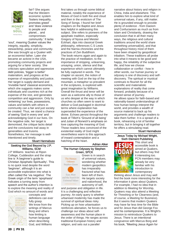![](_page_19_Picture_0.jpeg)

fair? She argues that the Western economic system 'fosters inequality, promotes greed' and 'does violence to people and planet… and compromises community.' It lacks

'soul', meaning Quaker values like integrity, equality, simplicity, stewardship, peace and community. She was brought up a Quaker with an economist father. Later she became an activist in the USA, promoting community projects and arguing for a fairer society. She criticises speculation and oppressive debt policies, 'bigger is better' materialism, and progress at the expense of responsibility and justice. Her target is supply-demand and 'invisible hand' classical economics, which she suggests makes some individuals and countries rich at the expense of the rest, and generates competition and aggression. Only by 'entwining' our lives, possessions, values and beliefs with others in community can a fair and just society be created. Thus, we stand a chance of seeing 'God in every one' and acknowledging God in our lives. On the negative side, her target is demonised, the critique lacks detail and the conclusions trail away in generalities and truisms. Nonetheless, her message is wellintentioned and timely.

Stuart Hannabuss

#### Seeking the God Beyond by J.P. Williams, SCM

J.P Williams teaches at Ripon College, Cuddesdon and the strap line is 'A beginner's guide to Christian Apophatic Spirituality'. This is no quick read despite the word 'beginner', although it is an accessible exploration into what is often called the 'via negativa'. The Greek origin of the term 'apophasis' indicates a turning away from speech and the author's intention is to explore the meaning and reality of God which no amount of words and

![](_page_19_Picture_6.jpeg)

concepts and definitions can ever fully grasp. We know from the writings of Marcus Borg and others how limiting is human language when describing God, and Williams

first takes us through some biblical material, notably the experience of Moses of God in both fire and cloud and then in the eroticism of The Song of Songs. I found her brief chapters on the Baptist and Jesus less helpful in addressing this subject. She refers to pioneers of the apophatic tradition, especially Gregory of Nyssa and Meister Eckhart, dips into classical Greek philosophy, references C.S Lewis and the Narnia chronicles and the practices of Zen Buddhism. The book returns again and again to the practice of meditation, to the importance of stripping, unlearning, unsaying, union, silence and that experience which cannot ultimately be fully captured in words. The chapter on ascent, the notion of meeting with God on the top of the mountain, a metaphor so prevalent in the scriptures, is explored with great imagination by Williams. Overall the thrust and tenor will be seen as a welcome ally to those of us who despair at the way in which churches so often seem to want to deliver a God packaged in doctrinal terms where explanation has superseded the experience of the divine. Echoes persist throughout the book of Tillich's 'Ground of all being' and Julian of Norwich's emphasis on love capturing the meaning of God. Those readers less convinced of the existential reality of God might nevertheless warm to this approach of inward contemplation and a hatching of the heart.

#### Adrian Alker

#### The Human Odyssey by Stephen Green, SPCK

![](_page_19_Picture_11.jpeg)

Green is in search of universal values, wondering whether modern geopolitics has irreparably fractured what has been left of them. He targets society and nationhood, the autonomy of self,

and purpose and obligation in life. It is a challenging and reflective journey. An early query is whether urbanised modernity has made the survival of spiritual ideas risky. Picking up on how urbanisation reinforces alienation, he forces us to challenge our ideas about selfawareness and the human place in the order of things. He ranges across traditional European history and religion, and sets out a parallel

narrative about history and religion in China, India and elsewhere. This enables him to explore what kind of universal values, if any, still matter. He is grounded enough to provide plenty of evidence - from Daoism and Confucianism as much as from Islam and Christianity, drawing the conclusion that in all their many ways, the religious and cultural traditions around the world share something universal(ist), and that throughout history most of them have been shaped by geopolitical tribalism. These traditions all probe into what it means to be good and happy, the reliability of the subjective life, and how we choose collaboration or conflict - how in other words, our human journey or odyssey is one of discovery and selfdiscovery. The spiritual or mystical continues to flourish for all the scientific and materialistic explanations of reality that come forward, probably because of a shared sense of journey. He allows space for faith-based and rationality-based understandings of how human beings interpret the world, and provides a wealth of source material to back up his arguments and challenge readers to take them further. It is a sprawl of a book, rehearsing a lot of familiar territory, but in bringing it all together he offers a stimulating read.

#### Stuart Hannabuss

#### Jesus Today by Michael Wright, Sixth Element Publishing

![](_page_19_Picture_17.jpeg)

This short and accessible book is aimed at Quakers, but others may find it interesting too. PCN members may already be very familiar with his introduction to contemporary

thinking about Jesus and may well find the book more interesting for the information it gives about Quakers. For example, I had no idea that in addition to Meeting for Worship, Quakers may also attend a Meeting for Threshing or for Clearness (and, of course, a Meeting for Business). But it seems that modern Quakers may have far less time for the Bible and for Jesus than did George Fox and his contemporaries. It is Wright's mission to reintroduce Quakers to Jesus. There is an intentional congruence with Marcus Borg and his book, "Meeting Jesus Again for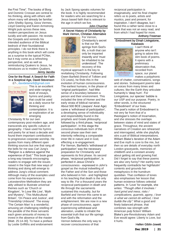the First Time". The books of Borg and Dominic Crossan are central to his thinking, along with others with whom many will already be familiar: John Shelby Spong, Geza Vermes, Lloyd Geering and Karen Armstrong. Wright puts across these new, modern perspectives on Jesus lucidly and with passion. He revisits the Gospels and reminds his intended audience of the Biblical bedrock of their foundational principles. I do not think there is anything in this book which will come as a surprise to the typical PCNer, but it may come as a refreshing perspective, and as well as reintroducing Quakers to Jesus, he introduces us to modern Quakers. Jenny Jacobs

#### One for the Road: A Search for Faith in a Sceptical Age, David Stevenson £7-, [davidelaine9@gmail.com](mailto:davidelaine9@gmail.com?subject=via%20PV)

# One for the Road

This is an excellent and wide-ranging book of essays, hymns and poetry that could be used as a daily source for thinking and contemplation. It is an exploration of an emerging

Christianity fit for our own contemporary post-modern age, and transcends any specific culture or geography. I have used his hymns and poetry for at least a decade and found them important contributions to progressive corporate worship. He quotes from many different open thinking sources but one that rang all the bells for me was Carl Jung's "Religion is a defence against the experience of God." This book goes a long way towards encouraging readers to engage with the issues raised in the hope that new ways of thinking and doing will emerge to address Jung's critical comment. Although many of the examples used come from his experiences in Leicestershire Methodism they are ably utilised to illustrate universal themes such as 'Church or Kingdom', 'In Love We Live', 'Myth and Mystery', 'This Multicultural Britain', 'On Peace and Justice', and 'Friendship Unbound'. The essay 'The Certain Man' is a wonderful, amusing yet challenging retelling of the parable of the three servants each given amounts of money to invest in the absence of the master [Matt. 25:14-30]. To have a preface by Leslie Griffiths and endorsement

by Jack Spong speaks volumes for the book. It is highly recommended for readers who are searching for a Jesus based faith that is relevant to the age in which we live.

#### John Churcher

I

#### A Secret History of Christianity by Mark Vernon, Christian Alternative

![](_page_20_Picture_8.jpeg)

For Vernon, Christianity's secret is that our life springs from God's life, a truth that can only be imparted inwardly and 'must be inhabited to be understood'. The recovery of this

mystical approach is the key to revitalising Christianity. Following Owen Barfield (friend of Tolkien and CS Lewis), he finds this in the evolution of human consciousness. The earliest humans, in the phase of 'original participation', had little sense of a boundary between a person and their environment. This included the time of Homer and the early strata of biblical narrative. About 500 BCE (Jaspars' Axial Age) came a 'withdrawal of participation', a developing sense of individuality and responsibility found in the prophets and Greek philosophy, followed by a third phase, 'reciprocal participation'. In this stage the conscious individuals born of the second phase saw their own interiority reflecting a comparable inner life in nature and in God, effecting a re-engagement. For Vernon, Barfield's 'withdrawal of participation' was the necessary preparation for Christianity and represents its first phase. Its second phase, 'reciprocal participation', is perfected in Jesus Christ's consciousness - expressed in John's gospel as the mutual indwelling of the Father and of the Son and those who believed in him - and highlighted in his teaching that death is the only way to life. For a thousand years the reciprocal participation in death and life through the sacraments sustained this mutuality, but for Barfield and Vernon this came to an end with the reformation and the enlightenment. We are now in a new phase of consciousness, again experiencing withdrawal and alienation, unable to inhabit the essential truth that our life springs from God's life.

Vernon believes the only way to recover consciousness of that

reciprocal participation is imaginatively, and his final chapter refers us to poets, artists and mystics, past and present, for inspiration. I don't disagree, but I found this a rather tame close to a book that was not an easy read, and from which I had hoped for more.

#### Anthony Freeman

#### Embodiment by Dinah Livingstone, Katabasis

![](_page_20_Picture_15.jpeg)

I can't think of anyone who isn't going to adore this slim book of poems. It opens with a preliminary observation that, recorded from space, our planet makes a polyphonic

web of chatter, conversations, songs and stories. Subsequent poems take on voices from many times and cultures; like the Earth they articulate humanity's 'deep hum'. For Livingstone, our species' babble is our USP and our purpose. Poetry, in other words, is the structured 'Embodiment' of our lives. The poet's notion of Embodiment is not very far from that of a theologian's notion of Incarnation, and she stresses the overlaps between states of mind and states of grace. Throughout, the ancient narratives of Creation are rehearsed and interrogated, while she playfully stirs a pot of Biblical interpretations. William Blake's iteration of the Adam and Eve myth is core to the mix, but then so are details of everyday north London graveyards, memories of childbirth and a constant anxiety about getting old and growing frail. Did I forget to say that these poems are also very funny? Her earthy tone frequently contradicts her highfalutin' contents and grounds her metaphysics in the humdrum quotidian. That conflation of tones also emphasises her lesson that human existence follows celestial patterns. In 'Love' for example, she writes: "Though often it involves / hard grind and mess, risks / complications, quarrels, agony, / love is what we cannot do without, / love builds the city". What a good and finely balanced phrase, that combines raw strength with American pulp fiction! William Blake's pre-Revolutionary Adam and Eve would agree: Liberty is Love, but it hurts.

Hellen Giblin-Jowett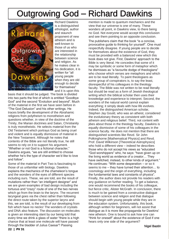# Outgrowing God – Richard Dawkins

![](_page_21_Picture_1.jpeg)

Richard Dawkins is a distinguished ethologist, author and staunch proponent of new atheism and is well-known to those of us who are interested in the relationship between science and religion. As he makes clear in his dedication, it is written for "all young people when they are old enough to decide for themselves" and it is upon this

basis that it should be judged. The book is divided into two parts the first of which is entitled "Goodbye God" and the second "Evolution and beyond". Much of the material in the first we have seen before in "The God Delusion" and his other writings. He traces briefly the development of the Abrahamic religions from polytheism to monotheism and questions whether, in view of the doctrine of the Trinity, the Marian doctrines and Satan, Christianity is truly monotheistic. He selects material from the Old Testament which portrays God as being cruel and violent and is equally dismissive of material in the New Testament. Although he notes that contents of the Bible are not literally true, he still seems to rely on it to support his argument. "Whether or not God is a fictional character," Dawkins argues, "we are still entitled to choose whether he's the type of character we'd like to love and follow".

Some of the material in Part Two is fascinating to those of us unfamiliar with biology. Dawkins explains the mechanics of the chameleon's tongue and the wonders of the eyes of different species including ours. These, we are told, are the result of mutations rather than "an intelligent designer" and we are given examples of bad design including the tortuous and "crazy" route of one of the two nerves which go from the brain to the larynx. The recurrent laryngeal goes via the chest rather than following the direct route taken by the superior larynx and this, we are told, is the result of our developing from fish which have no necks! The wonders of crystals and DNA also feature. The discussion on molecules is given an interesting slant by our being told that every time we drink a glass of water "there is a high chance that at least one molecule will have passed through the bladder of Julius Caesar"! Passing

mention is made to quantum mechanics and the view that our universe is one of many. These wonders all point, in Dawkins view, to there being no God. Not everyone would accept this conclusion and see them pointing to an opposite conclusion.

The publishers claim that the book "is a concise, provocative guide to thinking for yourself". One must respectfully disagree. If young people are to decide for themselves about the existence of God, they must be provided with a balanced view which this book does not give. First, Dawkins' approach to the Bible is very literal. He concedes that some of it may be symbolic or some form of metaphor which he dismisses as "a favourite dodge of theologians" who choose which verses are metaphors and which are to be read literally. To paint theologians as some group of conspirators is, to say the least, disrespectful of his colleagues in the theology faculty. The Bible was not written to be read literally but should be read as a form of Jewish theological writing which the biblical scholar then uses their knowledge and experience to interpret. Second, the wonders of the natural world cannot explain everything; it simply deals with how life evolves. Indeed, the distinguished American scholar, Stephen Jay Gould, who was an atheist, considered the evolutionary theory as consistent with both atheism and religious belief. Third, not content with jibes about those in the theology faculty, Dawkins is equally dismissive of some of his colleagues in the science faculty. He does not mention that there are distinguished scientists like Revd. Sir John Polkinghorne [Mathematical Physics] and Revd. Prof. David Wilkinson [Theoretical Astrophysics] who hold a different view – indeed he describes those who do not accept his views as "educated "God worshippers" who, he says: "have given up on the living world as evidence of a creator… They have switched, instead, to other kinds of argument." He continues: "With some desperation – or so it seems to me – they have turned their attention… to cosmology and the origin of everything, including the fundamental laws and constants of physics". Finally, the author does not provide his readers with any guidance on further reading. To get a balance, one would recommend the books of his colleague, but fierce critic, Alister McGrath. In conclusion, there is much to be gained from a constructive dialogue between science and religion and that dialogue should begin with young people while they are in the education system. Unfortunately, this book, although written for beginners, will not assist that dialogue as it is more like propaganda for Dawkins' new atheism. One is bound to ask how one can "think for oneself" about the existence of God if one hears only one side of the argument?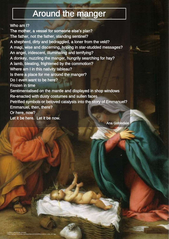# Around the manger

## Who am I?

The mother, a vessel for someone else's plan? The father, not the father, standing sentinel? A shepherd, dirty and bedraggled, a loner from the veld? A magi, wise and discerning, hoping in star-studded messages? An angel, iridescent, illuminating and terrifying? A donkey, nuzzling the manger, hungrily searching for hay? A lamb, bleating, frightened by the commotion? Where am I in this nativity tableau? Is there a place for me around the manger? Do I even want to be here? Frozen in time Sentimentalised on the mantle and displayed in shop windows Re-enacted with dusty costumes and sullen faces Petrified symbols or beloved catalysts into the story of Emmanuel? Emmanuel, then, there? Or here, now? Let it be here. Let it be now.

Ana Gobledale